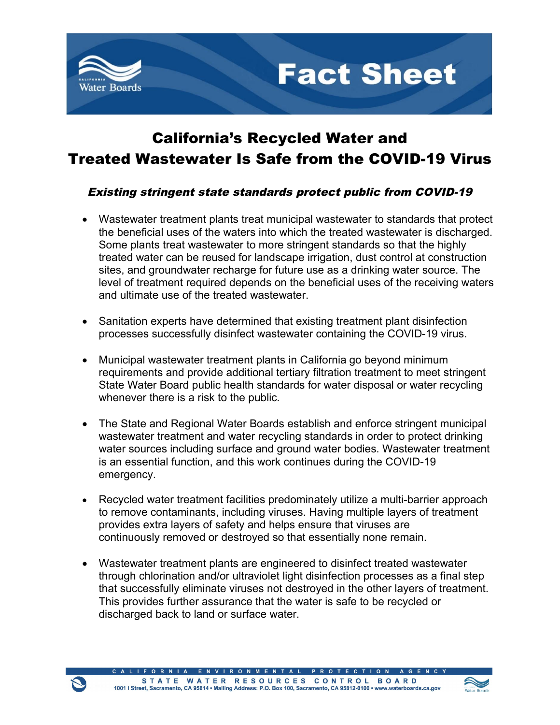

## California's Recycled Water and Treated Wastewater Is Safe from the COVID-19 Virus

**Fact Sheet** 

#### Existing stringent state standards protect public from COVID-19

- · Wastewater treatment plants treat municipal wastewater to standards that protect the beneficial uses of the waters into which the treated wastewater is discharged. Some plants treat wastewater to more stringent standards so that the highly treated water can be reused for landscape irrigation, dust control at construction sites, and groundwater recharge for future use as a drinking water source. The level of treatment required depends on the beneficial uses of the receiving waters and ultimate use of the treated wastewater.
- · Sanitation experts have determined that existing treatment plant disinfection processes successfully disinfect wastewater containing the COVID-19 virus.
- · Municipal wastewater treatment plants in California go beyond minimum requirements and provide additional tertiary filtration treatment to meet stringent State Water Board public health standards for water disposal or water recycling whenever there is a risk to the public.
- The State and Regional Water Boards establish and enforce stringent municipal wastewater treatment and water recycling standards in order to protect drinking water sources including surface and ground water bodies. Wastewater treatment is an essential function, and this work continues during the COVID-19 emergency.
- Recycled water treatment facilities predominately utilize a multi-barrier approach to remove contaminants, including viruses. Having multiple layers of treatment provides extra layers of safety and helps ensure that viruses are continuously removed or destroyed so that essentially none remain.
- · Wastewater treatment plants are engineered to disinfect treated wastewater through chlorination and/or ultraviolet light disinfection processes as a final step that successfully eliminate viruses not destroyed in the other layers of treatment. This provides further assurance that the water is safe to be recycled or discharged back to land or surface water.

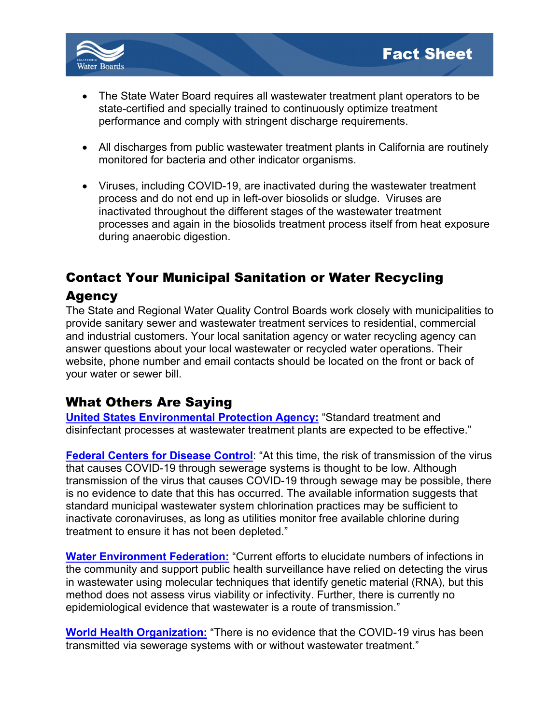

- · The State Water Board requires all wastewater treatment plant operators to be state-certified and specially trained to continuously optimize treatment performance and comply with stringent discharge requirements.
- · All discharges from public wastewater treatment plants in California are routinely monitored for bacteria and other indicator organisms.
- · Viruses, including COVID-19, are inactivated during the wastewater treatment process and do not end up in left-over biosolids or sludge. Viruses are inactivated throughout the different stages of the wastewater treatment processes and again in the biosolids treatment process itself from heat exposure during anaerobic digestion.

# Contact Your Municipal Sanitation or Water Recycling

#### **Agency**

The State and Regional Water Quality Control Boards work closely with municipalities to provide sanitary sewer and wastewater treatment services to residential, commercial and industrial customers. Your local sanitation agency or water recycling agency can answer questions about your local wastewater or recycled water operations. Their website, phone number and email contacts should be located on the front or back of your water or sewer bill.

### What Others Are Saying

**United States [Environmental](https://www.epa.gov/coronavirus/coronavirus-and-drinking-water-and-wastewater) Protection Agency:** "Standard treatment and disinfectant processes at wastewater treatment plants are expected to be effective."

**Federal Centers for [Disease](https://www.cdc.gov/coronavirus/2019-ncov/php/water.html) Control**: "At this time, the risk of transmission of the virus that causes COVID-19 through sewerage systems is thought to be low. Although transmission of the virus that causes COVID-19 through sewage may be possible, there is no evidence to date that this has occurred. The available information suggests that standard municipal wastewater system chlorination practices may be sufficient to inactivate coronaviruses, as long as utilities monitor free available chlorine during treatment to ensure it has not been depleted."

**Water [Environment](https://www.wef.org/news-hub/wef-news/the-water-professionals-guide-to-the-2019-novel-coronavirus/) Federation:** "Current efforts to elucidate numbers of infections in the community and support public health surveillance have relied on detecting the virus in wastewater using molecular techniques that identify genetic material (RNA), but this method does not assess virus viability or infectivity. Further, there is currently no epidemiological evidence that wastewater is a route of transmission."

**World Health [Organization:](https://www.who.int/publications-detail/water-sanitation-hygiene-and-waste-management-for-covid-19)** "There is no evidence that the COVID-19 virus has been transmitted via sewerage systems with or without wastewater treatment."